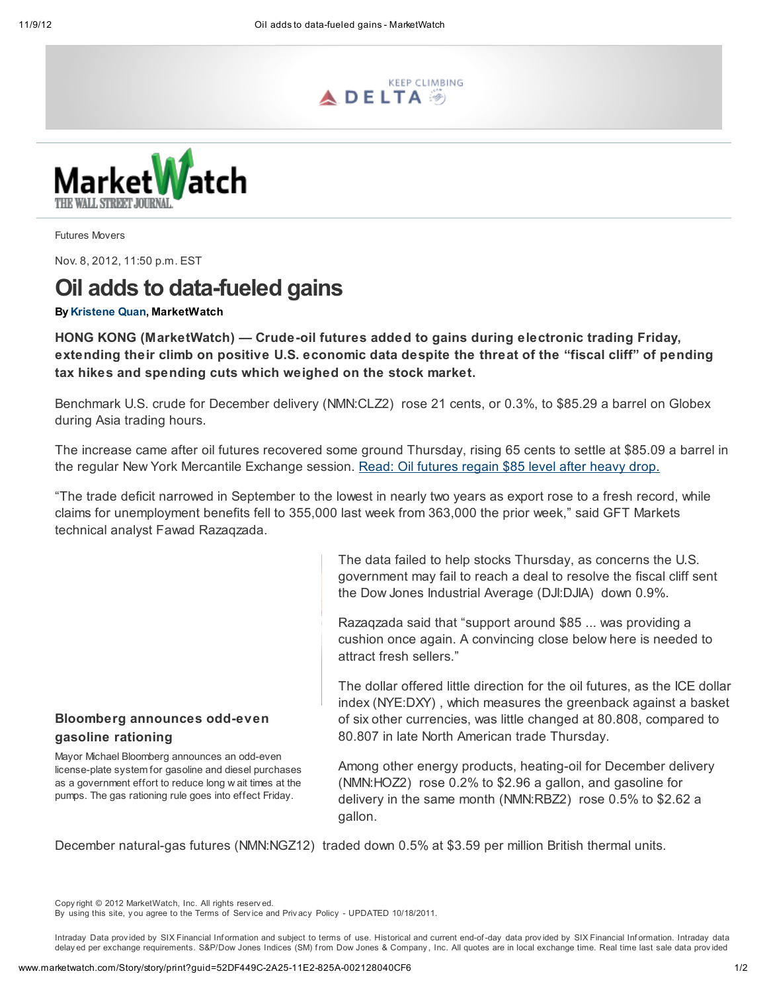



Futures Movers

Nov. 8, 2012, 11:50 p.m. EST

# Oil adds to data-fueled gains

## By [Kristene](mailto:kquan@marketwatch.com) Quan, MarketWatch

HONG KONG (MarketWatch) — Crude-oil futures added to gains during electronic trading Friday, extending their climb on positive U.S. economic data despite the threat of the "fiscal cliff" of pending tax hikes and spending cuts which weighed on the stock market.

Benchmark U.S. crude for December delivery (NMN:CLZ2) rose 21 cents, or 0.3%, to \$85.29 a barrel on Globex during Asia trading hours.

The increase came after oil futures recovered some ground Thursday, rising 65 cents to settle at \$85.09 a barrel in the regular New York Mercantile Exchange session. Read: Oil [futures](http://www.marketwatch.com/story/oil-rebounds-after-heavy-drop-2012-11-07) regain \$85 level after heavy drop.

"The trade deficit narrowed in September to the lowest in nearly two years as export rose to a fresh record, while claims for unemployment benefits fell to 355,000 last week from 363,000 the prior week," said GFT Markets technical analyst Fawad Razaqzada.

> The data failed to help stocks Thursday, as concerns the U.S. government may fail to reach a deal to resolve the fiscal cliff sent the Dow Jones Industrial Average (DJI:DJIA) down 0.9%.

Razaqzada said that "support around \$85 ... was providing a cushion once again. A convincing close below here is needed to attract fresh sellers."

The dollar offered little direction for the oil futures, as the ICE dollar index (NYE:DXY) , which measures the greenback against a basket of six other currencies, was little changed at 80.808, compared to 80.807 in late North American trade Thursday.

# Bloomberg announces odd-even gasoline rationing

Mayor Michael Bloomberg announces an odd-even license-plate system for gasoline and diesel purchases as a government effort to reduce long w ait times at the pumps. The gas rationing rule goes into effect Friday.

Among other energy products, heating-oil for December delivery (NMN:HOZ2) rose 0.2% to \$2.96 a gallon, and gasoline for delivery in the same month (NMN:RBZ2) rose 0.5% to \$2.62 a gallon.

December natural-gas futures (NMN:NGZ12) traded down 0.5% at \$3.59 per million British thermal units.

Copy right © 2012 MarketWatch, Inc. All rights reserv ed.

Intraday Data provided by SIX Financial Information and subject to [terms](http://www.marketwatch.com/investing/terms-of-use) of use. Historical and current end-of-day data provided by SIX Financial Information. Intraday data delay ed per exchange requirements. S&P/Dow Jones Indices (SM) f rom Dow Jones & Company , Inc. All quotes are in local exchange time. Real time last sale data prov ided

By using this site, y ou agree to the [Terms](http://www.marketwatch.com/support/disclaimer.asp) of Serv ice and Priv acy Policy - UPDATED [10/18/2011](http://www.marketwatch.com/support/privacy.asp).